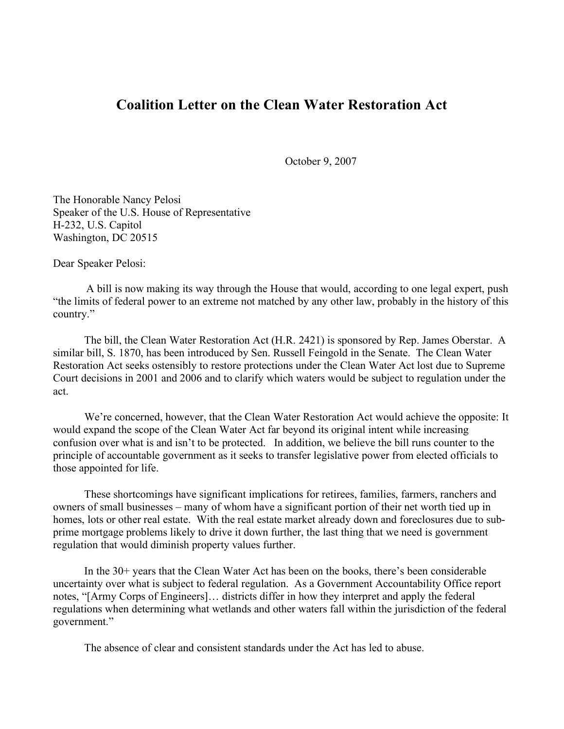## **Coalition Letter on the Clean Water Restoration Act**

October 9, 2007

The Honorable Nancy Pelosi Speaker of the U.S. House of Representative H-232, U.S. Capitol Washington, DC 20515

Dear Speaker Pelosi:

A bill is now making its way through the House that would, according to one legal expert, push "the limits of federal power to an extreme not matched by any other law, probably in the history of this country."

The bill, the Clean Water Restoration Act (H.R. 2421) is sponsored by Rep. James Oberstar. A similar bill, S. 1870, has been introduced by Sen. Russell Feingold in the Senate. The Clean Water Restoration Act seeks ostensibly to restore protections under the Clean Water Act lost due to Supreme Court decisions in 2001 and 2006 and to clarify which waters would be subject to regulation under the act.

We're concerned, however, that the Clean Water Restoration Act would achieve the opposite: It would expand the scope of the Clean Water Act far beyond its original intent while increasing confusion over what is and isn't to be protected. In addition, we believe the bill runs counter to the principle of accountable government as it seeks to transfer legislative power from elected officials to those appointed for life.

These shortcomings have significant implications for retirees, families, farmers, ranchers and owners of small businesses – many of whom have a significant portion of their net worth tied up in homes, lots or other real estate. With the real estate market already down and foreclosures due to subprime mortgage problems likely to drive it down further, the last thing that we need is government regulation that would diminish property values further.

In the 30+ years that the Clean Water Act has been on the books, there's been considerable uncertainty over what is subject to federal regulation. As a Government Accountability Office report notes, "[Army Corps of Engineers]… districts differ in how they interpret and apply the federal regulations when determining what wetlands and other waters fall within the jurisdiction of the federal government."

The absence of clear and consistent standards under the Act has led to abuse.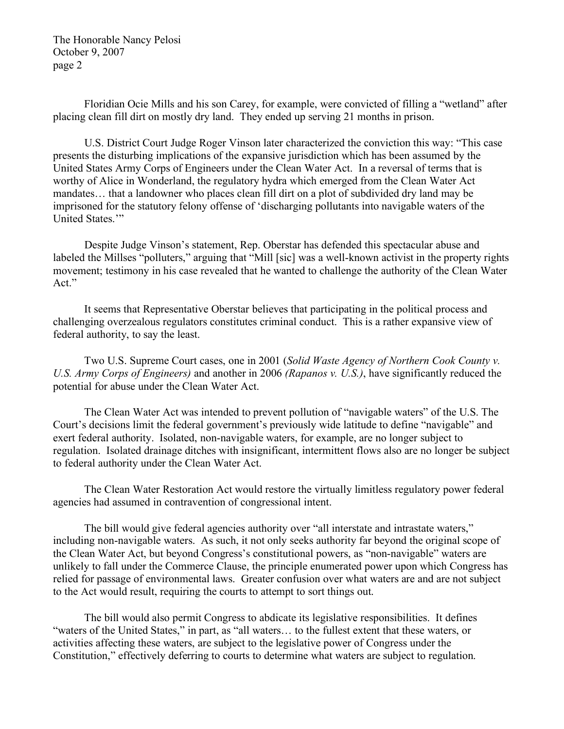Floridian Ocie Mills and his son Carey, for example, were convicted of filling a "wetland" after placing clean fill dirt on mostly dry land. They ended up serving 21 months in prison.

U.S. District Court Judge Roger Vinson later characterized the conviction this way: "This case presents the disturbing implications of the expansive jurisdiction which has been assumed by the United States Army Corps of Engineers under the Clean Water Act. In a reversal of terms that is worthy of Alice in Wonderland, the regulatory hydra which emerged from the Clean Water Act mandates… that a landowner who places clean fill dirt on a plot of subdivided dry land may be imprisoned for the statutory felony offense of 'discharging pollutants into navigable waters of the United States."

Despite Judge Vinson's statement, Rep. Oberstar has defended this spectacular abuse and labeled the Millses "polluters," arguing that "Mill [sic] was a well-known activist in the property rights movement; testimony in his case revealed that he wanted to challenge the authority of the Clean Water Act."

It seems that Representative Oberstar believes that participating in the political process and challenging overzealous regulators constitutes criminal conduct. This is a rather expansive view of federal authority, to say the least.

Two U.S. Supreme Court cases, one in 2001 (*Solid Waste Agency of Northern Cook County v. U.S. Army Corps of Engineers)* and another in 2006 *(Rapanos v. U.S.)*, have significantly reduced the potential for abuse under the Clean Water Act.

The Clean Water Act was intended to prevent pollution of "navigable waters" of the U.S. The Court's decisions limit the federal government's previously wide latitude to define "navigable" and exert federal authority. Isolated, non-navigable waters, for example, are no longer subject to regulation. Isolated drainage ditches with insignificant, intermittent flows also are no longer be subject to federal authority under the Clean Water Act.

The Clean Water Restoration Act would restore the virtually limitless regulatory power federal agencies had assumed in contravention of congressional intent.

The bill would give federal agencies authority over "all interstate and intrastate waters," including non-navigable waters. As such, it not only seeks authority far beyond the original scope of the Clean Water Act, but beyond Congress's constitutional powers, as "non-navigable" waters are unlikely to fall under the Commerce Clause, the principle enumerated power upon which Congress has relied for passage of environmental laws. Greater confusion over what waters are and are not subject to the Act would result, requiring the courts to attempt to sort things out.

The bill would also permit Congress to abdicate its legislative responsibilities. It defines "waters of the United States," in part, as "all waters… to the fullest extent that these waters, or activities affecting these waters, are subject to the legislative power of Congress under the Constitution," effectively deferring to courts to determine what waters are subject to regulation.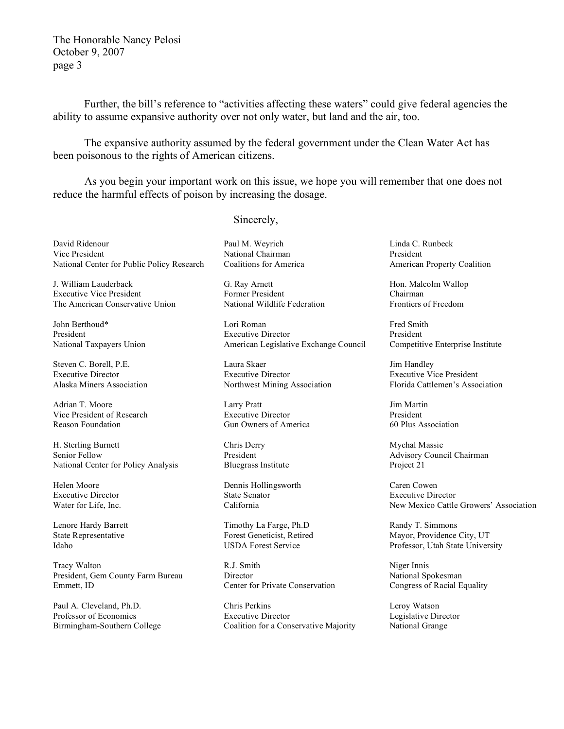Further, the bill's reference to "activities affecting these waters" could give federal agencies the ability to assume expansive authority over not only water, but land and the air, too.

The expansive authority assumed by the federal government under the Clean Water Act has been poisonous to the rights of American citizens.

As you begin your important work on this issue, we hope you will remember that one does not reduce the harmful effects of poison by increasing the dosage.

Sincerely,

David Ridenour Vice President National Center for Public Policy Research

J. William Lauderback Executive Vice President The American Conservative Union

John Berthoud\* President National Taxpayers Union

Steven C. Borell, P.E. Executive Director Alaska Miners Association

Adrian T. Moore Vice President of Research Reason Foundation

H. Sterling Burnett Senior Fellow National Center for Policy Analysis

Helen Moore Executive Director Water for Life, Inc.

Lenore Hardy Barrett State Representative Idaho

Tracy Walton President, Gem County Farm Bureau Emmett, ID

Paul A. Cleveland, Ph.D. Professor of Economics Birmingham-Southern College Paul M. Weyrich National Chairman Coalitions for America

G. Ray Arnett Former President National Wildlife Federation

Lori Roman Executive Director American Legislative Exchange Council

Laura Skaer Executive Director Northwest Mining Association

Larry Pratt Executive Director Gun Owners of America

Chris Derry President Bluegrass Institute

Dennis Hollingsworth State Senator California

Timothy La Farge, Ph.D Forest Geneticist, Retired USDA Forest Service

R.J. Smith **Director** Center for Private Conservation

Chris Perkins Executive Director Coalition for a Conservative Majority Linda C. Runbeck President American Property Coalition

Hon. Malcolm Wallop Chairman Frontiers of Freedom

Fred Smith President Competitive Enterprise Institute

Jim Handley Executive Vice President Florida Cattlemen's Association

Jim Martin President 60 Plus Association

Mychal Massie Advisory Council Chairman Project 21

Caren Cowen Executive Director New Mexico Cattle Growers' Association

Randy T. Simmons Mayor, Providence City, UT Professor, Utah State University

Niger Innis National Spokesman Congress of Racial Equality

Leroy Watson Legislative Director National Grange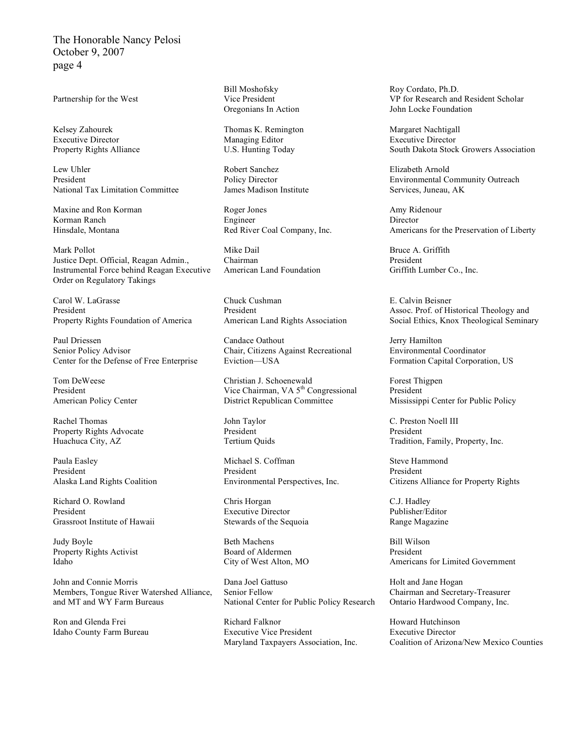Partnership for the West

Kelsey Zahourek Executive Director Property Rights Alliance

Lew Uhler President National Tax Limitation Committee

Maxine and Ron Korman Korman Ranch Hinsdale, Montana

Mark Pollot Justice Dept. Official, Reagan Admin., Instrumental Force behind Reagan Executive Order on Regulatory Takings

Carol W. LaGrasse President Property Rights Foundation of America

Paul Driessen Senior Policy Advisor Center for the Defense of Free Enterprise

Tom DeWeese President American Policy Center

Rachel Thomas Property Rights Advocate Huachuca City, AZ

Paula Easley President Alaska Land Rights Coalition

Richard O. Rowland President Grassroot Institute of Hawaii

Judy Boyle Property Rights Activist Idaho

John and Connie Morris Members, Tongue River Watershed Alliance, and MT and WY Farm Bureaus

Ron and Glenda Frei Idaho County Farm Bureau Bill Moshofsky Vice President Oregonians In Action

Thomas K. Remington Managing Editor U.S. Hunting Today

Robert Sanchez Policy Director James Madison Institute

Roger Jones Engineer Red River Coal Company, Inc.

Mike Dail Chairman American Land Foundation

Chuck Cushman President American Land Rights Association

Candace Oathout Chair, Citizens Against Recreational Eviction—USA

Christian J. Schoenewald Vice Chairman, VA 5<sup>th</sup> Congressional District Republican Committee

John Taylor President Tertium Quids

Michael S. Coffman President Environmental Perspectives, Inc.

Chris Horgan Executive Director Stewards of the Sequoia

Beth Machens Board of Aldermen City of West Alton, MO

Dana Joel Gattuso Senior Fellow National Center for Public Policy Research

Richard Falknor Executive Vice President Maryland Taxpayers Association, Inc. Roy Cordato, Ph.D. VP for Research and Resident Scholar John Locke Foundation

Margaret Nachtigall Executive Director South Dakota Stock Growers Association

Elizabeth Arnold Environmental Community Outreach Services, Juneau, AK

Amy Ridenour Director Americans for the Preservation of Liberty

Bruce A. Griffith President Griffith Lumber Co., Inc.

E. Calvin Beisner Assoc. Prof. of Historical Theology and Social Ethics, Knox Theological Seminary

Jerry Hamilton Environmental Coordinator Formation Capital Corporation, US

Forest Thigpen President Mississippi Center for Public Policy

C. Preston Noell III President Tradition, Family, Property, Inc.

Steve Hammond President Citizens Alliance for Property Rights

C.J. Hadley Publisher/Editor Range Magazine

Bill Wilson President Americans for Limited Government

Holt and Jane Hogan Chairman and Secretary-Treasurer Ontario Hardwood Company, Inc.

Howard Hutchinson Executive Director Coalition of Arizona/New Mexico Counties